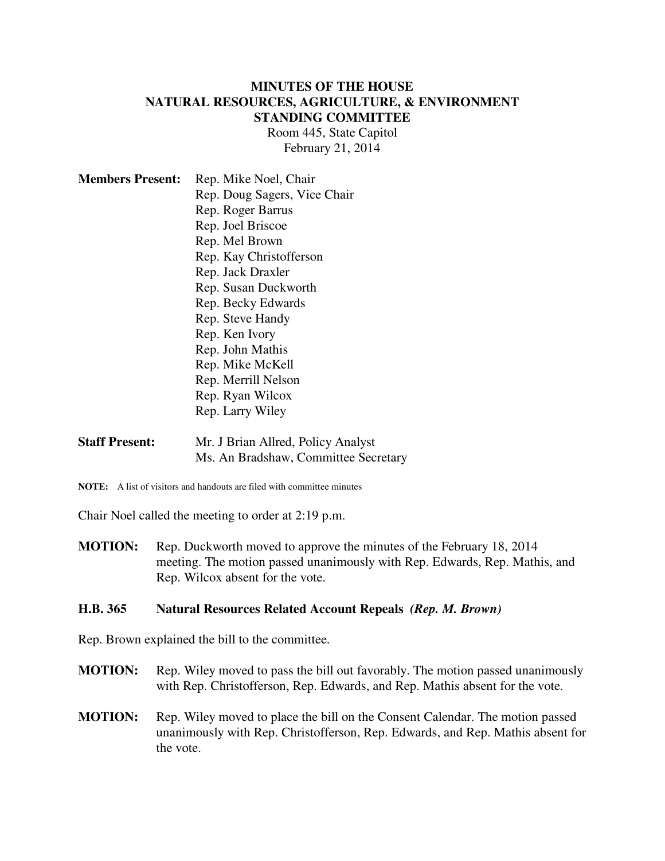### **MINUTES OF THE HOUSE NATURAL RESOURCES, AGRICULTURE, & ENVIRONMENT STANDING COMMITTEE**

Room 445, State Capitol February 21, 2014

| <b>Members Present:</b> | Rep. Mike Noel, Chair        |
|-------------------------|------------------------------|
|                         | Rep. Doug Sagers, Vice Chair |
|                         | Rep. Roger Barrus            |
|                         | Rep. Joel Briscoe            |
|                         | Rep. Mel Brown               |
|                         | Rep. Kay Christofferson      |
|                         | Rep. Jack Draxler            |
|                         | Rep. Susan Duckworth         |
|                         | Rep. Becky Edwards           |
|                         | Rep. Steve Handy             |
|                         | Rep. Ken Ivory               |
|                         | Rep. John Mathis             |
|                         | Rep. Mike McKell             |
|                         | Rep. Merrill Nelson          |
|                         | Rep. Ryan Wilcox             |
|                         | Rep. Larry Wiley             |
|                         |                              |

- **Staff Present:** Mr. J Brian Allred, Policy Analyst Ms. An Bradshaw, Committee Secretary
- **NOTE:** A list of visitors and handouts are filed with committee minutes

Chair Noel called the meeting to order at 2:19 p.m.

**MOTION:** Rep. Duckworth moved to approve the minutes of the February 18, 2014 meeting. The motion passed unanimously with Rep. Edwards, Rep. Mathis, and Rep. Wilcox absent for the vote.

#### **H.B. 365 Natural Resources Related Account Repeals** *(Rep. M. Brown)*

Rep. Brown explained the bill to the committee.

- **MOTION:** Rep. Wiley moved to pass the bill out favorably. The motion passed unanimously with Rep. Christofferson, Rep. Edwards, and Rep. Mathis absent for the vote.
- **MOTION:** Rep. Wiley moved to place the bill on the Consent Calendar. The motion passed unanimously with Rep. Christofferson, Rep. Edwards, and Rep. Mathis absent for the vote.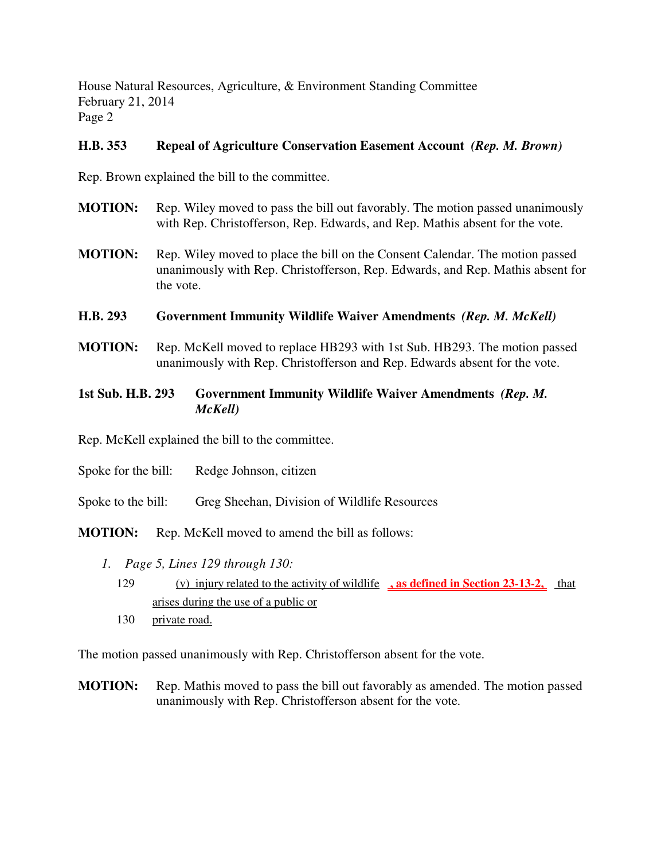House Natural Resources, Agriculture, & Environment Standing Committee February 21, 2014 Page 2

### **H.B. 353 Repeal of Agriculture Conservation Easement Account** *(Rep. M. Brown)*

Rep. Brown explained the bill to the committee.

- **MOTION:** Rep. Wiley moved to pass the bill out favorably. The motion passed unanimously with Rep. Christofferson, Rep. Edwards, and Rep. Mathis absent for the vote.
- **MOTION:** Rep. Wiley moved to place the bill on the Consent Calendar. The motion passed unanimously with Rep. Christofferson, Rep. Edwards, and Rep. Mathis absent for the vote.

### **H.B. 293 Government Immunity Wildlife Waiver Amendments** *(Rep. M. McKell)*

**MOTION:** Rep. McKell moved to replace HB293 with 1st Sub. HB293. The motion passed unanimously with Rep. Christofferson and Rep. Edwards absent for the vote.

### **1st Sub. H.B. 293 Government Immunity Wildlife Waiver Amendments** *(Rep. M. McKell)*

Rep. McKell explained the bill to the committee.

- Spoke for the bill: Redge Johnson, citizen
- Spoke to the bill: Greg Sheehan, Division of Wildlife Resources

**MOTION:** Rep. McKell moved to amend the bill as follows:

- *1. Page 5, Lines 129 through 130:*
	- 129 (v) injury related to the activity of wildlife **, as defined in Section 23-13-2,** that arises during the use of a public or
	- 130 private road.

The motion passed unanimously with Rep. Christofferson absent for the vote.

**MOTION:** Rep. Mathis moved to pass the bill out favorably as amended. The motion passed unanimously with Rep. Christofferson absent for the vote.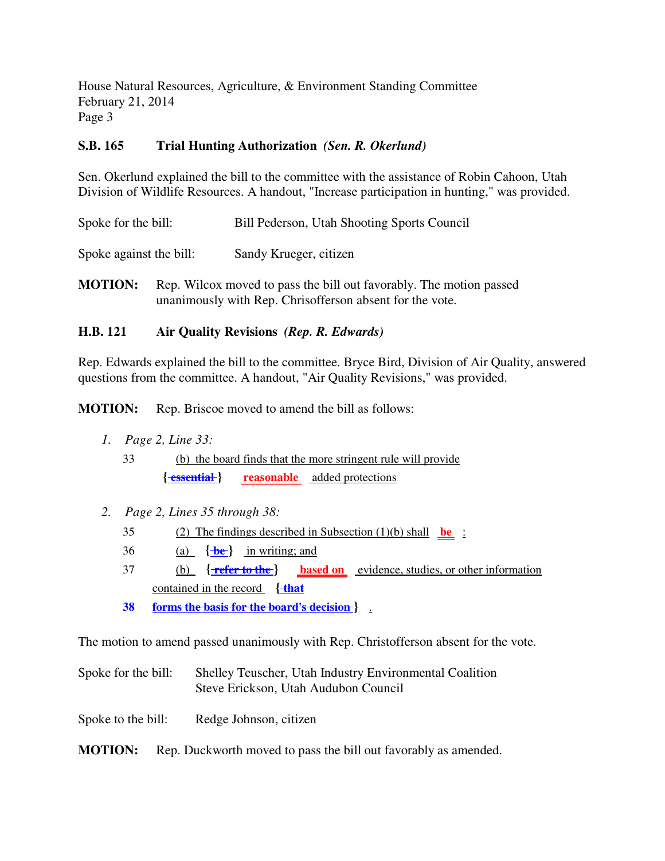House Natural Resources, Agriculture, & Environment Standing Committee February 21, 2014 Page 3

# **S.B. 165 Trial Hunting Authorization** *(Sen. R. Okerlund)*

Sen. Okerlund explained the bill to the committee with the assistance of Robin Cahoon, Utah Division of Wildlife Resources. A handout, "Increase participation in hunting," was provided.

| Spoke for the bill:     | Bill Pederson, Utah Shooting Sports Council |
|-------------------------|---------------------------------------------|
| Spoke against the bill: | Sandy Krueger, citizen                      |

**MOTION:** Rep. Wilcox moved to pass the bill out favorably. The motion passed unanimously with Rep. Chrisofferson absent for the vote.

# **H.B. 121 Air Quality Revisions** *(Rep. R. Edwards)*

Rep. Edwards explained the bill to the committee. Bryce Bird, Division of Air Quality, answered questions from the committee. A handout, "Air Quality Revisions," was provided.

**MOTION:** Rep. Briscoe moved to amend the bill as follows:

- *1. Page 2, Line 33:*
	- 33 (b) the board finds that the more stringent rule will provide {**<u>essential}</u> reasonable** <u>added protections</u>
- *2. Page 2, Lines 35 through 38:*
	- 35 (2) The findings described in Subsection (1)(b) shall **be** :
	- 36 (a)  $\left\{\frac{b}{b}\right\}$  in writing; and
	- 37 (b) **{ refer to the } based on** evidence, studies, or other information contained in the record **{ that**
	- **38 forms the basis for the board's decision }** .

The motion to amend passed unanimously with Rep. Christofferson absent for the vote.

- Spoke for the bill: Shelley Teuscher, Utah Industry Environmental Coalition Steve Erickson, Utah Audubon Council
- Spoke to the bill: Redge Johnson, citizen
- **MOTION:** Rep. Duckworth moved to pass the bill out favorably as amended.